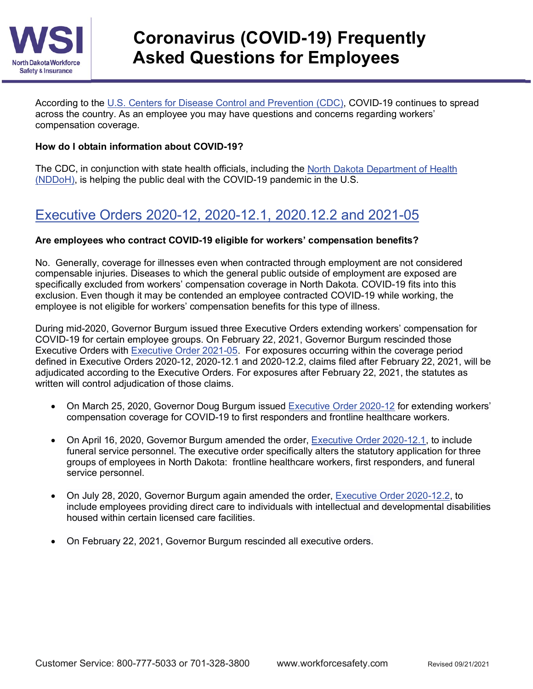

According to the [U.S. Centers for Disease Control and Prevention \(CDC\),](https://www.cdc.gov/coronavirus/2019-nCoV/index.html) COVID-19 continues to spread across the country. As an employee you may have questions and concerns regarding workers' compensation coverage.

## **How do I obtain information about COVID-19?**

The CDC, in conjunction with state health officials, including the North Dakota [Department of Health](https://www.health.nd.gov/diseases-conditions/coronavirus)  [\(NDDoH\),](https://www.health.nd.gov/diseases-conditions/coronavirus) is helping the public deal with the COVID-19 pandemic in the U.S.

# Executive Orders 2020-12, 2020-12.1, 2020.12.2 and 2021-05

## **Are employees who contract COVID-19 eligible for workers' compensation benefits?**

No. Generally, coverage for illnesses even when contracted through employment are not considered compensable injuries. Diseases to which the general public outside of employment are exposed are specifically excluded from workers' compensation coverage in North Dakota. COVID-19 fits into this exclusion. Even though it may be contended an employee contracted COVID-19 while working, the employee is not eligible for workers' compensation benefits for this type of illness.

During mid-2020, Governor Burgum issued three Executive Orders extending workers' compensation for COVID-19 for certain employee groups. On February 22, 2021, Governor Burgum rescinded those Executive Orders with [Executive Order 2021-05.](https://www.governor.nd.gov/sites/www/files/documents/executive-orders/Executive%20Order%202021-05.pdf) For exposures occurring within the coverage period defined in Executive Orders 2020-12, 2020-12.1 and 2020-12.2, claims filed after February 22, 2021, will be adjudicated according to the Executive Orders. For exposures after February 22, 2021, the statutes as written will control adjudication of those claims.

- On March 25, 2020, Governor Doug Burgum issued **[Executive Order 2020-12](https://www.governor.nd.gov/sites/www/files/documents/executive-orders/Executive%20Order%202020-12%20WSI%20extension%20for%201st%20responders.pdf)** for extending workers' compensation coverage for COVID-19 to first responders and frontline healthcare workers.
- On April 16, 2020, Governor Burgum amended the order, [Executive Order 2020-12.1,](https://www.governor.nd.gov/sites/www/files/documents/executive-orders/Executive%20Order%202020.12.1%20Extending%20Workers%20Compensation%20to%20Funeral%20Directors%20and%20Funeral%20Home%20Workers.pdf) to include funeral service personnel. The executive order specifically alters the statutory application for three groups of employees in North Dakota: frontline healthcare workers, first responders, and funeral service personnel.
- On July 28, 2020, Governor Burgum again amended the order, [Executive Order 2020-12.2,](https://www.governor.nd.gov/sites/www/files/documents/Executive%20Order%202020-12.2.pdf) to include employees providing direct care to individuals with intellectual and developmental disabilities housed within certain licensed care facilities.
- On February 22, 2021, Governor Burgum rescinded all executive orders.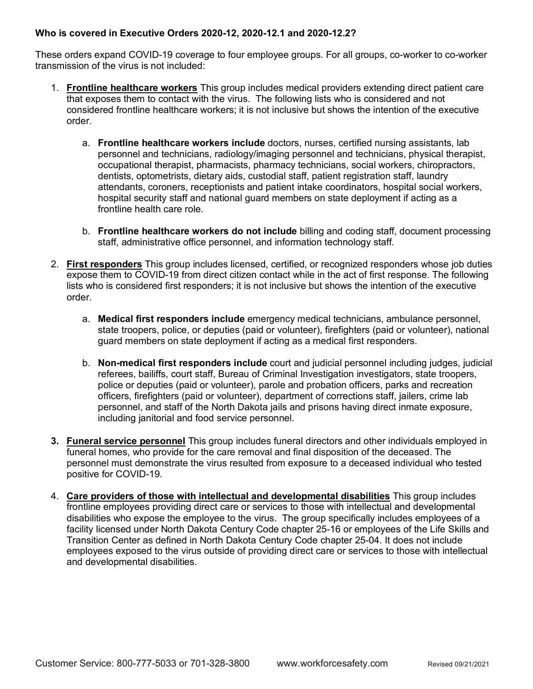## **Who is covered in Executive Orders 2020-12, 2020-12.1 and 2020-12.2?**

These orders expand COVID-19 coverage to four employee groups. For all groups, co-worker to co-worker transmission of the virus is not included:

- 1. **Frontline healthcare workers** This group includes medical providers extending direct patient care that exposes them to contact with the virus. The following lists who is considered and not considered frontline healthcare workers; it is not inclusive but shows the intention of the executive order.
	- a. **Frontline healthcare workers include** doctors, nurses, certified nursing assistants, lab personnel and technicians, radiology/imaging personnel and technicians, physical therapist, occupational therapist, pharmacists, pharmacy technicians, social workers, chiropractors, dentists, optometrists, dietary aids, custodial staff, patient registration staff, laundry attendants, coroners, receptionists and patient intake coordinators, hospital social workers, hospital security staff and national guard members on state deployment if acting as a frontline health care role.
	- b. **Frontline healthcare workers do not include** billing and coding staff, document processing staff, administrative office personnel, and information technology staff.
- 2. **First responders** This group includes licensed, certified, or recognized responders whose job duties expose them to COVID-19 from direct citizen contact while in the act of first response. The following lists who is considered first responders; it is not inclusive but shows the intention of the executive order.
	- a. **Medical first responders include** emergency medical technicians, ambulance personnel, state troopers, police, or deputies (paid or volunteer), firefighters (paid or volunteer), national guard members on state deployment if acting as a medical first responders.
	- b. **Non-medical first responders include** court and judicial personnel including judges, judicial referees, bailiffs, court staff, Bureau of Criminal Investigation investigators, state troopers, police or deputies (paid or volunteer), parole and probation officers, parks and recreation officers, firefighters (paid or volunteer), department of corrections staff, jailers, crime lab personnel, and staff of the North Dakota jails and prisons having direct inmate exposure, including janitorial and food service personnel.
- **3. Funeral service personnel** This group includes funeral directors and other individuals employed in funeral homes, who provide for the care removal and final disposition of the deceased. The personnel must demonstrate the virus resulted from exposure to a deceased individual who tested positive for COVID-19.
- 4. **Care providers of those with intellectual and developmental disabilities** This group includes frontline employees providing direct care or services to those with intellectual and developmental disabilities who expose the employee to the virus. The group specifically includes employees of a facility licensed under North Dakota Century Code chapter 25-16 or employees of the Life Skills and Transition Center as defined in North Dakota Century Code chapter 25-04. It does not include employees exposed to the virus outside of providing direct care or services to those with intellectual and developmental disabilities.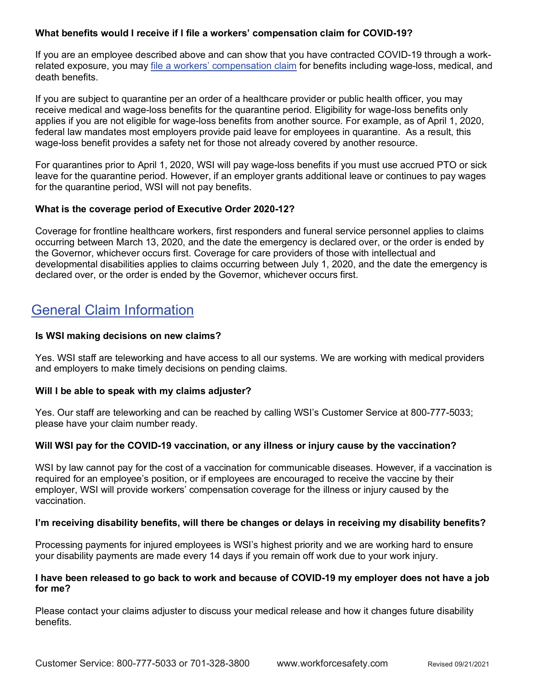### **What benefits would I receive if I file a workers' compensation claim for COVID-19?**

If you are an employee described above and can show that you have contracted COVID-19 through a workrelated exposure, you may [file a workers' compensation claim](https://www.workforcesafety.com/WSI/OFROI/) for benefits including wage-loss, medical, and death benefits.

If you are subject to quarantine per an order of a healthcare provider or public health officer, you may receive medical and wage-loss benefits for the quarantine period. Eligibility for wage-loss benefits only applies if you are not eligible for wage-loss benefits from another source. For example, as of April 1, 2020, federal law mandates most employers provide paid leave for employees in quarantine. As a result, this wage-loss benefit provides a safety net for those not already covered by another resource.

For quarantines prior to April 1, 2020, WSI will pay wage-loss benefits if you must use accrued PTO or sick leave for the quarantine period. However, if an employer grants additional leave or continues to pay wages for the quarantine period, WSI will not pay benefits.

#### **What is the coverage period of Executive Order 2020-12?**

Coverage for frontline healthcare workers, first responders and funeral service personnel applies to claims occurring between March 13, 2020, and the date the emergency is declared over, or the order is ended by the Governor, whichever occurs first. Coverage for care providers of those with intellectual and developmental disabilities applies to claims occurring between July 1, 2020, and the date the emergency is declared over, or the order is ended by the Governor, whichever occurs first.

# General Claim Information

#### **Is WSI making decisions on new claims?**

Yes. WSI staff are teleworking and have access to all our systems. We are working with medical providers and employers to make timely decisions on pending claims.

#### **Will I be able to speak with my claims adjuster?**

Yes. Our staff are teleworking and can be reached by calling WSI's Customer Service at 800-777-5033; please have your claim number ready.

## **Will WSI pay for the COVID-19 vaccination, or any illness or injury cause by the vaccination?**

WSI by law cannot pay for the cost of a vaccination for communicable diseases. However, if a vaccination is required for an employee's position, or if employees are encouraged to receive the vaccine by their employer, WSI will provide workers' compensation coverage for the illness or injury caused by the vaccination.

#### **I'm receiving disability benefits, will there be changes or delays in receiving my disability benefits?**

Processing payments for injured employees is WSI's highest priority and we are working hard to ensure your disability payments are made every 14 days if you remain off work due to your work injury.

#### **I have been released to go back to work and because of COVID-19 my employer does not have a job for me?**

Please contact your claims adjuster to discuss your medical release and how it changes future disability benefits.